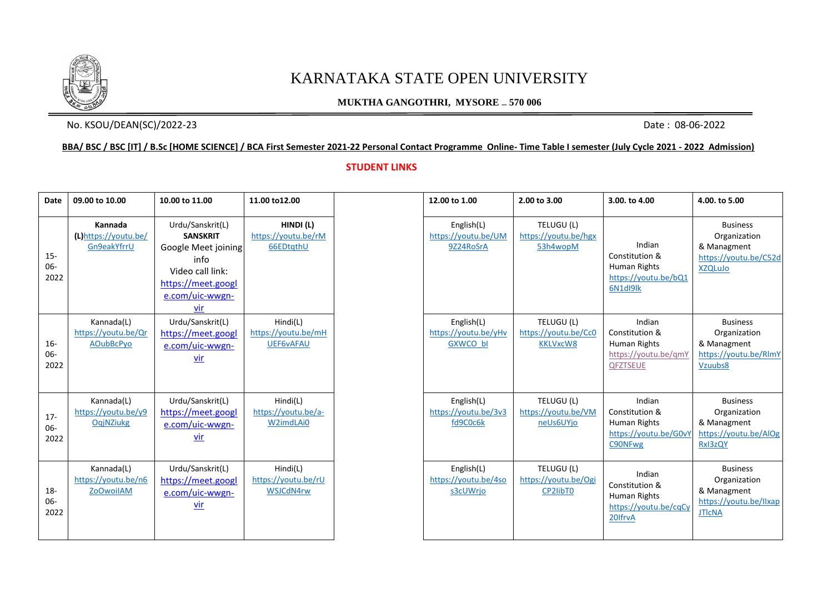

# KARNATAKA STATE OPEN UNIVERSITY

### **MUKTHA GANGOTHRI, MYSORE – 570 006**

## No. KSOU/DEAN(SC)/2022-23 Date: 08-06-2022

#### **BBA/ BSC / BSC [IT] / B.Sc [HOME SCIENCE] / BCA First Semester 2021-22 Personal Contact Programme Online- Time Table I semester (July Cycle 2021 - 2022 Admission)**

#### **STUDENT LINKS**

| <b>Date</b>             | 09.00 to 10.00                                        | 10.00 to 11.00                                                                                                                         | 11.00 to 12.00                                      | 12.00 to 1.00                                         | 2.00 to 3.00                                          | 3.00. to 4.00                                                                              | 4.00. to 5.00                                                                             |
|-------------------------|-------------------------------------------------------|----------------------------------------------------------------------------------------------------------------------------------------|-----------------------------------------------------|-------------------------------------------------------|-------------------------------------------------------|--------------------------------------------------------------------------------------------|-------------------------------------------------------------------------------------------|
| $15 -$<br>06-<br>2022   | Kannada<br>(L)https://youtu.be/<br>Gn9eakYfrrU        | Urdu/Sanskrit(L)<br><b>SANSKRIT</b><br>Google Meet joining<br>info<br>Video call link:<br>https://meet.googl<br>e.com/uic-wwgn-<br>vir | HINDI(L)<br>https://youtu.be/rM<br>66EDtqthU        | English(L)<br>https://youtu.be/UM<br>9Z24RoSrA        | TELUGU (L)<br>https://youtu.be/hgx<br>53h4wopM        | Indian<br>Constitution &<br>Human Rights<br>https://voutu.be/bQ1<br>6N1dl9lk               | <b>Business</b><br>Organization<br>& Managment<br>https://youtu.be/C52d<br><b>XZQLuJo</b> |
| $16 -$<br>06-<br>2022   | Kannada(L)<br>https://youtu.be/Qr<br>AOubBcPyo        | Urdu/Sanskrit(L)<br>https://meet.googl<br>e.com/uic-wwgn-<br>$vir$                                                                     | Hindi(L)<br>https://youtu.be/mH<br><b>UEF6vAFAU</b> | English(L)<br>https://youtu.be/yHv<br><b>GXWCO bl</b> | TELUGU (L)<br>https://youtu.be/Cc0<br><b>KKLVxcW8</b> | Indian<br>Constitution &<br><b>Human Rights</b><br>https://voutu.be/gm\<br><b>QFZTSEUE</b> | <b>Business</b><br>Organization<br>& Managment<br>https://voutu.be/RlmY<br>Vzuubs8        |
| $17 -$<br>06-<br>2022   | Kannada(L)<br>https://youtu.be/y9<br>OgjNZiukg        | Urdu/Sanskrit(L)<br>https://meet.googl<br>e.com/uic-wwgn-<br><u>vir</u>                                                                | Hindi(L)<br>https://youtu.be/a-<br>W2imdLAi0        | English(L)<br>https://youtu.be/3v3<br>fd9C0c6k        | TELUGU (L)<br>https://voutu.be/VM<br>neUs6UYjo        | Indian<br>Constitution &<br>Human Rights<br>https://youtu.be/G0v<br>C90NFwg                | <b>Business</b><br>Organization<br>& Managment<br>https://youtu.be/AlOg<br>Rxl3zQY        |
| $18 -$<br>$06-$<br>2022 | Kannada(L)<br>https://youtu.be/n6<br><b>ZoOwoilAM</b> | Urdu/Sanskrit(L)<br>https://meet.googl<br>e.com/uic-wwgn-<br><u>vir</u>                                                                | Hindi(L)<br>https://youtu.be/rU<br>WSJCdN4rw        | English(L)<br>https://youtu.be/4so<br>s3cUWrjo        | TELUGU (L)<br>https://youtu.be/Ogi<br>CP2IibT0        | Indian<br>Constitution &<br>Human Rights<br>https://voutu.be/cqCy<br>20lfrvA               | <b>Business</b><br>Organization<br>& Managment<br>https://voutu.be/llxap<br><b>JTICNA</b> |